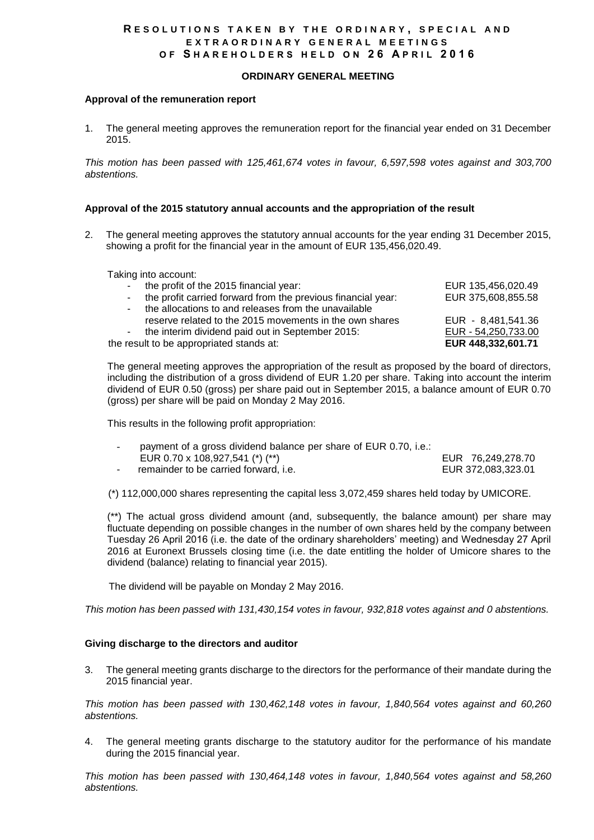#### **R E S O L U T I O N S T A K E N B Y T H E O R D I N A R Y , S P E C I A L A N D E X T R A O R D I N A R Y G E N E R A L M E E T I N G S O F S H A R E H O L D E R S H E L D O N 2 6 A P R I L 2016**

#### **ORDINARY GENERAL MEETING**

## **Approval of the remuneration report**

1. The general meeting approves the remuneration report for the financial year ended on 31 December 2015.

*This motion has been passed with 125,461,674 votes in favour, 6,597,598 votes against and 303,700 abstentions.*

## **Approval of the 2015 statutory annual accounts and the appropriation of the result**

2. The general meeting approves the statutory annual accounts for the year ending 31 December 2015, showing a profit for the financial year in the amount of EUR 135,456,020.49.

Taking into account:

| the result to be appropriated stands at:                       | EUR 448,332,601.71  |
|----------------------------------------------------------------|---------------------|
| - the interim dividend paid out in September 2015:             | EUR - 54.250.733.00 |
| reserve related to the 2015 movements in the own shares        | EUR - 8.481.541.36  |
| - the allocations to and releases from the unavailable         |                     |
| - the profit carried forward from the previous financial year: | EUR 375,608,855.58  |
| - the profit of the 2015 financial year:                       | EUR 135,456,020.49  |

The general meeting approves the appropriation of the result as proposed by the board of directors, including the distribution of a gross dividend of EUR 1.20 per share. Taking into account the interim dividend of EUR 0.50 (gross) per share paid out in September 2015, a balance amount of EUR 0.70 (gross) per share will be paid on Monday 2 May 2016.

This results in the following profit appropriation:

| payment of a gross dividend balance per share of EUR 0.70, i.e.: |                    |
|------------------------------------------------------------------|--------------------|
| EUR 0.70 x 108,927,541 (*) (**)                                  | EUR 76.249.278.70  |
| remainder to be carried forward, i.e.                            | EUR 372,083,323.01 |

(\*) 112,000,000 shares representing the capital less 3,072,459 shares held today by UMICORE.

(\*\*) The actual gross dividend amount (and, subsequently, the balance amount) per share may fluctuate depending on possible changes in the number of own shares held by the company between Tuesday 26 April 2016 (i.e. the date of the ordinary shareholders' meeting) and Wednesday 27 April 2016 at Euronext Brussels closing time (i.e. the date entitling the holder of Umicore shares to the dividend (balance) relating to financial year 2015).

The dividend will be payable on Monday 2 May 2016.

*This motion has been passed with 131,430,154 votes in favour, 932,818 votes against and 0 abstentions.*

## **Giving discharge to the directors and auditor**

3. The general meeting grants discharge to the directors for the performance of their mandate during the 2015 financial year.

*This motion has been passed with 130,462,148 votes in favour, 1,840,564 votes against and 60,260 abstentions.*

4. The general meeting grants discharge to the statutory auditor for the performance of his mandate during the 2015 financial year.

*This motion has been passed with 130,464,148 votes in favour, 1,840,564 votes against and 58,260 abstentions.*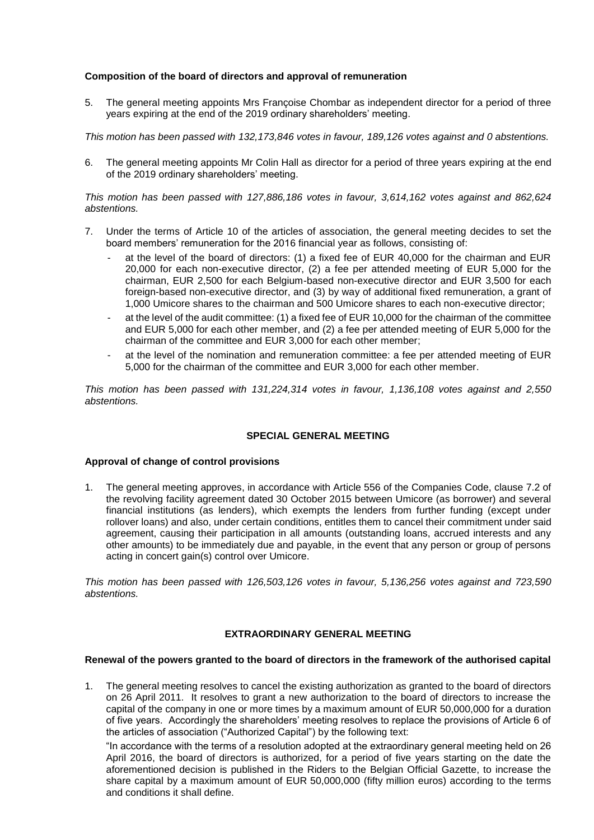## **Composition of the board of directors and approval of remuneration**

5. The general meeting appoints Mrs Françoise Chombar as independent director for a period of three years expiring at the end of the 2019 ordinary shareholders' meeting.

*This motion has been passed with 132,173,846 votes in favour, 189,126 votes against and 0 abstentions.*

6. The general meeting appoints Mr Colin Hall as director for a period of three years expiring at the end of the 2019 ordinary shareholders' meeting.

*This motion has been passed with 127,886,186 votes in favour, 3,614,162 votes against and 862,624 abstentions.*

- 7. Under the terms of Article 10 of the articles of association, the general meeting decides to set the board members' remuneration for the 2016 financial year as follows, consisting of:
	- at the level of the board of directors: (1) a fixed fee of EUR 40,000 for the chairman and EUR 20,000 for each non-executive director, (2) a fee per attended meeting of EUR 5,000 for the chairman, EUR 2,500 for each Belgium-based non-executive director and EUR 3,500 for each foreign-based non-executive director, and (3) by way of additional fixed remuneration, a grant of 1,000 Umicore shares to the chairman and 500 Umicore shares to each non-executive director;
	- at the level of the audit committee: (1) a fixed fee of EUR 10,000 for the chairman of the committee and EUR 5,000 for each other member, and (2) a fee per attended meeting of EUR 5,000 for the chairman of the committee and EUR 3,000 for each other member;
	- at the level of the nomination and remuneration committee: a fee per attended meeting of EUR 5,000 for the chairman of the committee and EUR 3,000 for each other member.

*This motion has been passed with 131,224,314 votes in favour, 1,136,108 votes against and 2,550 abstentions.*

### **SPECIAL GENERAL MEETING**

#### **Approval of change of control provisions**

1. The general meeting approves, in accordance with Article 556 of the Companies Code, clause 7.2 of the revolving facility agreement dated 30 October 2015 between Umicore (as borrower) and several financial institutions (as lenders), which exempts the lenders from further funding (except under rollover loans) and also, under certain conditions, entitles them to cancel their commitment under said agreement, causing their participation in all amounts (outstanding loans, accrued interests and any other amounts) to be immediately due and payable, in the event that any person or group of persons acting in concert gain(s) control over Umicore.

*This motion has been passed with 126,503,126 votes in favour, 5,136,256 votes against and 723,590 abstentions.*

# **EXTRAORDINARY GENERAL MEETING**

#### **Renewal of the powers granted to the board of directors in the framework of the authorised capital**

1. The general meeting resolves to cancel the existing authorization as granted to the board of directors on 26 April 2011. It resolves to grant a new authorization to the board of directors to increase the capital of the company in one or more times by a maximum amount of EUR 50,000,000 for a duration of five years. Accordingly the shareholders' meeting resolves to replace the provisions of Article 6 of the articles of association ("Authorized Capital") by the following text:

"In accordance with the terms of a resolution adopted at the extraordinary general meeting held on 26 April 2016, the board of directors is authorized, for a period of five years starting on the date the aforementioned decision is published in the Riders to the Belgian Official Gazette, to increase the share capital by a maximum amount of EUR 50,000,000 (fifty million euros) according to the terms and conditions it shall define.